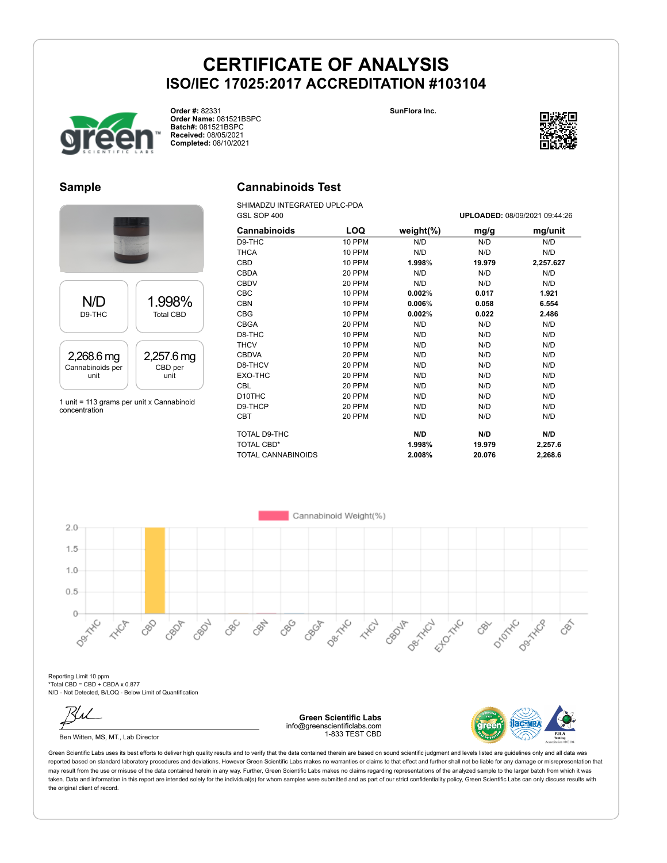



**Order #:** 82331 **Order Name:** 081521BSPC **Batch#:** 081521BSPC **Received:** 08/05/2021 **Completed:** 08/10/2021

#### **Sample**



### **Cannabinoids Test**

SHIMADZU INTEGRATED UPLC-PDA GSL SOP 400 **UPLOADED:** 08/09/2021 09:44:26

| Cannabinoids              | LOQ    | weight $(\%)$ | mg/g   | mg/unit   |
|---------------------------|--------|---------------|--------|-----------|
| D9-THC                    | 10 PPM | N/D           | N/D    | N/D       |
| THCA                      | 10 PPM | N/D           | N/D    | N/D       |
| CBD                       | 10 PPM | 1.998%        | 19.979 | 2,257.627 |
| <b>CBDA</b>               | 20 PPM | N/D           | N/D    | N/D       |
| <b>CBDV</b>               | 20 PPM | N/D           | N/D    | N/D       |
| <b>CBC</b>                | 10 PPM | 0.002%        | 0.017  | 1.921     |
| <b>CBN</b>                | 10 PPM | 0.006%        | 0.058  | 6.554     |
| <b>CBG</b>                | 10 PPM | 0.002%        | 0.022  | 2.486     |
| <b>CBGA</b>               | 20 PPM | N/D           | N/D    | N/D       |
| D8-THC                    | 10 PPM | N/D           | N/D    | N/D       |
| <b>THCV</b>               | 10 PPM | N/D           | N/D    | N/D       |
| <b>CBDVA</b>              | 20 PPM | N/D           | N/D    | N/D       |
| D8-THCV                   | 20 PPM | N/D           | N/D    | N/D       |
| EXO-THC                   | 20 PPM | N/D           | N/D    | N/D       |
| <b>CBL</b>                | 20 PPM | N/D           | N/D    | N/D       |
| D10THC                    | 20 PPM | N/D           | N/D    | N/D       |
| D9-THCP                   | 20 PPM | N/D           | N/D    | N/D       |
| CBT                       | 20 PPM | N/D           | N/D    | N/D       |
| TOTAL D9-THC              |        | N/D           | N/D    | N/D       |
| <b>TOTAL CBD*</b>         |        | 1.998%        | 19.979 | 2,257.6   |
| <b>TOTAL CANNABINOIDS</b> |        | 2.008%        | 20.076 | 2,268.6   |



Reporting Limit 10 ppm \*Total CBD = CBD + CBDA x 0.877 N/D - Not Detected, B/LOQ - Below Limit of Quantification

Ben Witten, MS, MT., Lab Director

**Green Scientific Labs** info@greenscientificlabs.com 1-833 TEST CBD



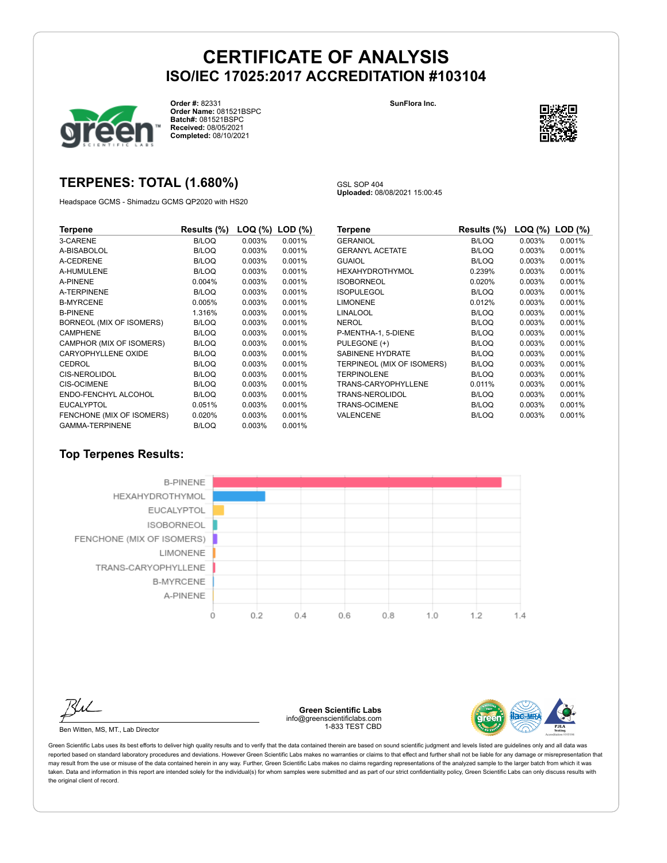

**Order #:** 82331 **Order Name:** 081521BSPC **Batch#:** 081521BSPC **Received:** 08/05/2021 **Completed:** 08/10/2021

#### **SunFlora Inc.**



### **TERPENES: TOTAL (1.680%)**

Headspace GCMS - Shimadzu GCMS QP2020 with HS20

GSL SOP 404 **Uploaded:** 08/08/2021 15:00:45

| Terpene                    | Results (%)  | LOQ (%)   | $LOD$ $(\%)$ |
|----------------------------|--------------|-----------|--------------|
| 3-CARENE                   | B/LOQ        | 0.003%    | 0.001%       |
| A-BISABOLOL                | B/LOQ        | 0.003%    | 0.001%       |
| A-CEDRENE                  | B/LOQ        | 0.003%    | 0.001%       |
| A-HUMULENE                 | B/LOQ        | 0.003%    | 0.001%       |
| A-PINENE                   | 0.004%       | 0.003%    | 0.001%       |
| A-TERPINENE                | <b>B/LOQ</b> | 0.003%    | 0.001%       |
| <b>B-MYRCENE</b>           | 0.005%       | $0.003\%$ | 0.001%       |
| <b>B-PINENE</b>            | 1.316%       | 0.003%    | 0.001%       |
| BORNEOL (MIX OF ISOMERS)   | B/LOQ        | 0.003%    | 0.001%       |
| <b>CAMPHENE</b>            | B/LOQ        | 0.003%    | 0.001%       |
| CAMPHOR (MIX OF ISOMERS)   | B/LOQ        | 0.003%    | 0.001%       |
| <b>CARYOPHYLLENE OXIDE</b> | B/LOQ        | 0.003%    | 0.001%       |
| CEDROL                     | B/LOQ        | 0.003%    | 0.001%       |
| <b>CIS-NEROLIDOL</b>       | B/LOQ        | 0.003%    | 0.001%       |
| <b>CIS-OCIMENE</b>         | B/LOQ        | 0.003%    | 0.001%       |
| ENDO-FENCHYL ALCOHOL       | <b>B/LOQ</b> | 0.003%    | 0.001%       |
| <b>EUCALYPTOL</b>          | 0.051%       | 0.003%    | 0.001%       |
| FENCHONE (MIX OF ISOMERS)  | 0.020%       | 0.003%    | 0.001%       |
| <b>GAMMA-TERPINENE</b>     | B/LOQ        | 0.003%    | 0.001%       |

| Terpene                    | Results (%)  | LOQ (%) | $LOD$ $(\%)$ |
|----------------------------|--------------|---------|--------------|
| <b>GERANIOL</b>            | <b>B/LOQ</b> | 0.003%  | 0.001%       |
| <b>GERANYL ACETATE</b>     | <b>B/LOQ</b> | 0.003%  | 0.001%       |
| <b>GUAIOL</b>              | <b>B/LOQ</b> | 0.003%  | 0.001%       |
| <b>HEXAHYDROTHYMOL</b>     | 0.239%       | 0.003%  | 0.001%       |
| <b>ISOBORNEOL</b>          | 0.020%       | 0.003%  | 0.001%       |
| <b>ISOPULEGOL</b>          | <b>B/LOQ</b> | 0.003%  | 0.001%       |
| <b>LIMONENE</b>            | 0.012%       | 0.003%  | 0.001%       |
| <b>LINALOOL</b>            | <b>B/LOQ</b> | 0.003%  | 0.001%       |
| NEROL                      | <b>B/LOQ</b> | 0.003%  | 0.001%       |
| P-MENTHA-1, 5-DIENE        | <b>B/LOQ</b> | 0.003%  | 0.001%       |
| PULEGONE (+)               | <b>B/LOQ</b> | 0.003%  | 0.001%       |
| <b>SABINENE HYDRATE</b>    | <b>B/LOQ</b> | 0.003%  | 0.001%       |
| TERPINEOL (MIX OF ISOMERS) | <b>B/LOQ</b> | 0.003%  | 0.001%       |
| <b>TERPINOLENE</b>         | <b>B/LOQ</b> | 0.003%  | 0.001%       |
| TRANS-CARYOPHYLLENE        | 0.011%       | 0.003%  | 0.001%       |
| TRANS-NEROLIDOL            | <b>B/LOQ</b> | 0.003%  | 0.001%       |
| <b>TRANS-OCIMENE</b>       | <b>B/LOQ</b> | 0.003%  | 0.001%       |
| VALENCENE                  | B/LOQ        | 0.003%  | 0.001%       |

### **Top Terpenes Results:**



Ben Witten, MS, MT., Lab Director

**Green Scientific Labs** info@greenscientificlabs.com 1-833 TEST CBD

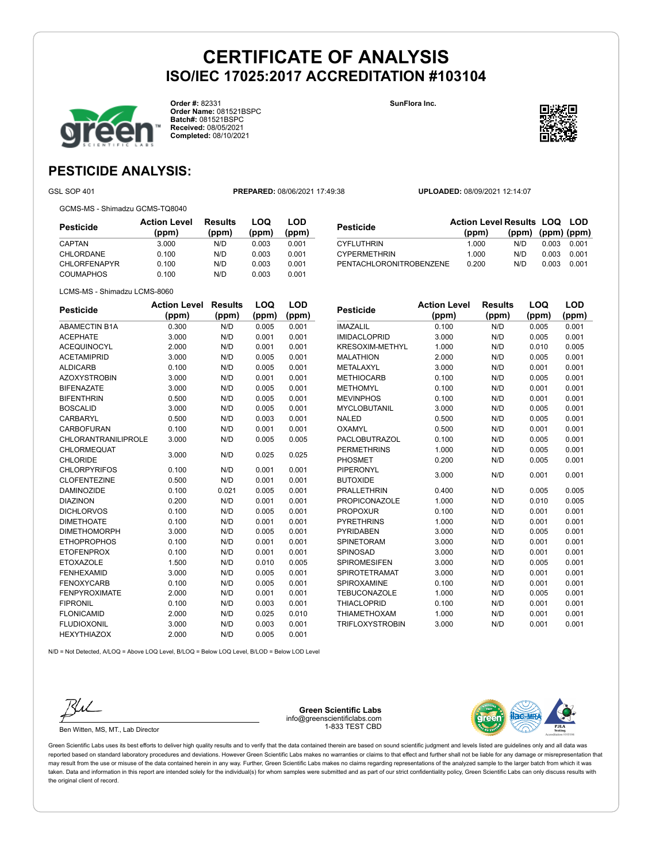

**Order #:** 82331 **Order Name:** 081521BSPC **Batch#:** 081521BSPC **Received:** 08/05/2021 **Completed:** 08/10/2021

**SunFlora Inc.**



### **PESTICIDE ANALYSIS:**

GSL SOP 401 **PREPARED:** 08/06/2021 17:49:38 **UPLOADED:** 08/09/2021 12:14:07

GCMS-MS - Shimadzu GCMS-TQ8040

**Pesticide Action Level (ppm) Results (ppm) LOQ (ppm) LOD (ppm)** CAPTAN 3.000 N/D 0.003 0.001 CHLORDANE 0.100 N/D 0.003 0.001 CHLORFENAPYR 0.100 N/D 0.003 0.001 COUMAPHOS 0.100 N/D 0.003 0.001

| <b>Pesticide</b>        | <b>Action Level Results LOQ LOD</b> |                   |       |       |
|-------------------------|-------------------------------------|-------------------|-------|-------|
|                         | (ppm)                               | (ppm) (ppm) (ppm) |       |       |
| <b>CYFLUTHRIN</b>       | 1.000                               | N/D               | 0.003 | 0.001 |
| <b>CYPERMETHRIN</b>     | 1.000                               | N/D               | 0.003 | 0.001 |
| PENTACHLORONITROBENZENE | 0.200                               | N/D               | 0.003 | 0.001 |

|  | LCMS-MS - Shimadzu LCMS-8060 |
|--|------------------------------|
|  |                              |

| <b>Pesticide</b>           | <b>Action Level</b> | <b>Results</b> | LOQ   | LOD   |
|----------------------------|---------------------|----------------|-------|-------|
|                            | (ppm)               | (ppm)          | (ppm) | (ppm) |
| <b>ABAMECTIN B1A</b>       | 0.300               | N/D            | 0.005 | 0.001 |
| <b>ACEPHATE</b>            | 3.000               | N/D            | 0.001 | 0.001 |
| <b>ACEQUINOCYL</b>         | 2.000               | N/D            | 0.001 | 0.001 |
| <b>ACETAMIPRID</b>         | 3.000               | N/D            | 0.005 | 0.001 |
| <b>ALDICARB</b>            | 0.100               | N/D            | 0.005 | 0.001 |
| <b>AZOXYSTROBIN</b>        | 3.000               | N/D            | 0.001 | 0.001 |
| <b>BIFENAZATE</b>          | 3.000               | N/D            | 0.005 | 0.001 |
| <b>BIFENTHRIN</b>          | 0.500               | N/D            | 0.005 | 0.001 |
| <b>BOSCALID</b>            | 3.000               | N/D            | 0.005 | 0.001 |
| <b>CARBARYL</b>            | 0.500               | N/D            | 0.003 | 0.001 |
| <b>CARBOFURAN</b>          | 0.100               | N/D            | 0.001 | 0.001 |
| <b>CHLORANTRANILIPROLE</b> | 3.000               | N/D            | 0.005 | 0.005 |
| <b>CHLORMEQUAT</b>         | 3.000               | N/D            | 0.025 | 0.025 |
| <b>CHLORIDE</b>            |                     |                |       |       |
| <b>CHLORPYRIFOS</b>        | 0.100               | N/D            | 0.001 | 0.001 |
| <b>CLOFENTEZINE</b>        | 0.500               | N/D            | 0.001 | 0.001 |
| <b>DAMINOZIDE</b>          | 0.100               | 0.021          | 0.005 | 0.001 |
| <b>DIAZINON</b>            | 0.200               | N/D            | 0.001 | 0.001 |
| <b>DICHLORVOS</b>          | 0.100               | N/D            | 0.005 | 0.001 |
| <b>DIMETHOATE</b>          | 0.100               | N/D            | 0.001 | 0.001 |
| <b>DIMETHOMORPH</b>        | 3.000               | N/D            | 0.005 | 0.001 |
| <b>ETHOPROPHOS</b>         | 0.100               | N/D            | 0.001 | 0.001 |
| <b>ETOFENPROX</b>          | 0.100               | N/D            | 0.001 | 0.001 |
| <b>ETOXAZOLE</b>           | 1.500               | N/D            | 0.010 | 0.005 |
| <b>FENHEXAMID</b>          | 3.000               | N/D            | 0.005 | 0.001 |
| <b>FENOXYCARB</b>          | 0.100               | N/D            | 0.005 | 0.001 |
| <b>FENPYROXIMATE</b>       | 2.000               | N/D            | 0.001 | 0.001 |
| <b>FIPRONIL</b>            | 0.100               | N/D            | 0.003 | 0.001 |
| <b>FLONICAMID</b>          | 2.000               | N/D            | 0.025 | 0.010 |
| <b>FLUDIOXONIL</b>         | 3.000               | N/D            | 0.003 | 0.001 |
| <b>HEXYTHIAZOX</b>         | 2.000               | N/D            | 0.005 | 0.001 |

| Pesticide              | Action Level | <b>Results</b> | LOQ   | LOD   |
|------------------------|--------------|----------------|-------|-------|
|                        | (ppm)        | (ppm)          | (ppm) | (ppm) |
| <b>IMAZALIL</b>        | 0.100        | N/D            | 0.005 | 0.001 |
| <b>IMIDACLOPRID</b>    | 3.000        | N/D            | 0.005 | 0.001 |
| KRESOXIM-METHYL        | 1.000        | N/D            | 0.010 | 0.005 |
| <b>MALATHION</b>       | 2.000        | N/D            | 0.005 | 0.001 |
| METALAXYL              | 3.000        | N/D            | 0.001 | 0.001 |
| <b>METHIOCARB</b>      | 0.100        | N/D            | 0.005 | 0.001 |
| <b>METHOMYL</b>        | 0.100        | N/D            | 0.001 | 0.001 |
| <b>MEVINPHOS</b>       | 0.100        | N/D            | 0.001 | 0.001 |
| <b>MYCLOBUTANIL</b>    | 3.000        | N/D            | 0.005 | 0.001 |
| <b>NALED</b>           | 0.500        | N/D            | 0.005 | 0.001 |
| <b>OXAMYL</b>          | 0.500        | N/D            | 0.001 | 0.001 |
| <b>PACLOBUTRAZOL</b>   | 0.100        | N/D            | 0.005 | 0.001 |
| <b>PERMETHRINS</b>     | 1.000        | N/D            | 0.005 | 0.001 |
| PHOSMET                | 0.200        | N/D            | 0.005 | 0.001 |
| <b>PIPERONYL</b>       | 3.000        | N/D            | 0.001 | 0.001 |
| <b>BUTOXIDE</b>        |              |                |       |       |
| <b>PRALLETHRIN</b>     | 0.400        | N/D            | 0.005 | 0.005 |
| <b>PROPICONAZOLE</b>   | 1.000        | N/D            | 0.010 | 0.005 |
| <b>PROPOXUR</b>        | 0.100        | N/D            | 0.001 | 0.001 |
| <b>PYRETHRINS</b>      | 1.000        | N/D            | 0.001 | 0.001 |
| <b>PYRIDABEN</b>       | 3.000        | N/D            | 0.005 | 0.001 |
| <b>SPINETORAM</b>      | 3.000        | N/D            | 0.001 | 0.001 |
| SPINOSAD               | 3.000        | N/D            | 0.001 | 0.001 |
| <b>SPIROMESIFEN</b>    | 3.000        | N/D            | 0.005 | 0.001 |
| <b>SPIROTETRAMAT</b>   | 3.000        | N/D            | 0.001 | 0.001 |
| <b>SPIROXAMINE</b>     | 0.100        | N/D            | 0.001 | 0.001 |
| <b>TEBUCONAZOLE</b>    | 1.000        | N/D            | 0.005 | 0.001 |
| <b>THIACLOPRID</b>     | 0.100        | N/D            | 0.001 | 0.001 |
| <b>THIAMETHOXAM</b>    | 1.000        | N/D            | 0.001 | 0.001 |
| <b>TRIFLOXYSTROBIN</b> | 3.000        | N/D            | 0.001 | 0.001 |

N/D = Not Detected, A/LOQ = Above LOQ Level, B/LOQ = Below LOQ Level, B/LOD = Below LOD Level



Ben Witten, MS, MT., Lab Director

**Green Scientific Labs** info@greenscientificlabs.com 1-833 TEST CBD

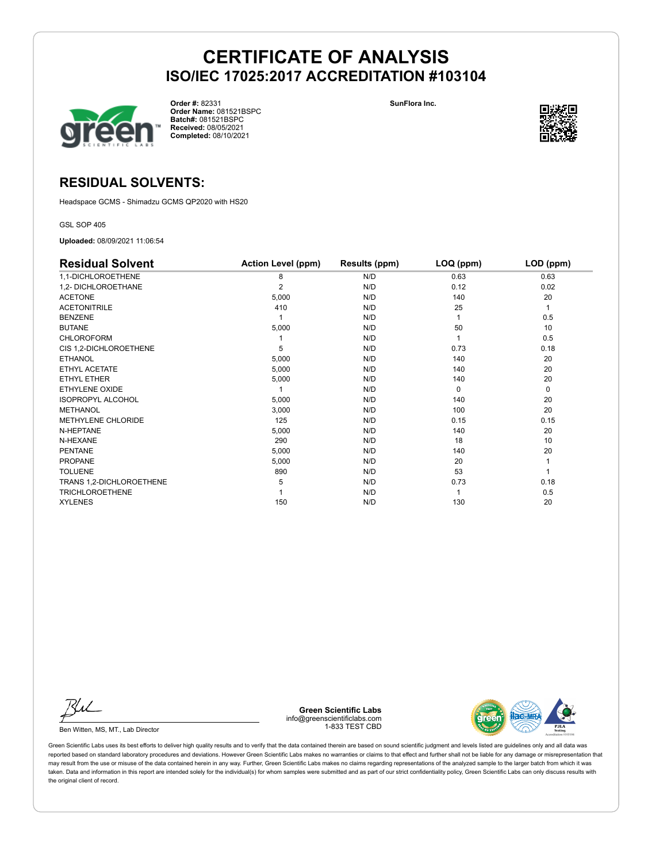

**Order #:** 82331 **Order Name:** 081521BSPC **Batch#:** 081521BSPC **Received:** 08/05/2021 **Completed:** 08/10/2021

**SunFlora Inc.**



### **RESIDUAL SOLVENTS:**

Headspace GCMS - Shimadzu GCMS QP2020 with HS20

GSL SOP 405

**Uploaded:** 08/09/2021 11:06:54

| <b>Residual Solvent</b>  | <b>Action Level (ppm)</b> | Results (ppm) | LOQ (ppm) | LOD (ppm) |
|--------------------------|---------------------------|---------------|-----------|-----------|
| 1,1-DICHLOROETHENE       | 8                         | N/D           | 0.63      | 0.63      |
| 1,2- DICHLOROETHANE      | 2                         | N/D           | 0.12      | 0.02      |
| <b>ACETONE</b>           | 5,000                     | N/D           | 140       | 20        |
| <b>ACETONITRILE</b>      | 410                       | N/D           | 25        | 1         |
| <b>BENZENE</b>           |                           | N/D           |           | 0.5       |
| <b>BUTANE</b>            | 5,000                     | N/D           | 50        | 10        |
| <b>CHLOROFORM</b>        |                           | N/D           |           | 0.5       |
| CIS 1,2-DICHLOROETHENE   | 5                         | N/D           | 0.73      | 0.18      |
| ETHANOL                  | 5,000                     | N/D           | 140       | 20        |
| ETHYL ACETATE            | 5,000                     | N/D           | 140       | 20        |
| <b>ETHYL ETHER</b>       | 5,000                     | N/D           | 140       | 20        |
| ETHYLENE OXIDE           |                           | N/D           | $\Omega$  | 0         |
| <b>ISOPROPYL ALCOHOL</b> | 5,000                     | N/D           | 140       | 20        |
| <b>METHANOL</b>          | 3,000                     | N/D           | 100       | 20        |
| METHYLENE CHLORIDE       | 125                       | N/D           | 0.15      | 0.15      |
| N-HEPTANE                | 5,000                     | N/D           | 140       | 20        |
| N-HEXANE                 | 290                       | N/D           | 18        | 10        |
| <b>PENTANE</b>           | 5,000                     | N/D           | 140       | 20        |
| <b>PROPANE</b>           | 5,000                     | N/D           | 20        |           |
| <b>TOLUENE</b>           | 890                       | N/D           | 53        |           |
| TRANS 1,2-DICHLOROETHENE | 5                         | N/D           | 0.73      | 0.18      |
| <b>TRICHLOROETHENE</b>   |                           | N/D           |           | 0.5       |
| <b>XYLENES</b>           | 150                       | N/D           | 130       | 20        |

Ku

Ben Witten, MS, MT., Lab Director

**Green Scientific Labs** info@greenscientificlabs.com 1-833 TEST CBD

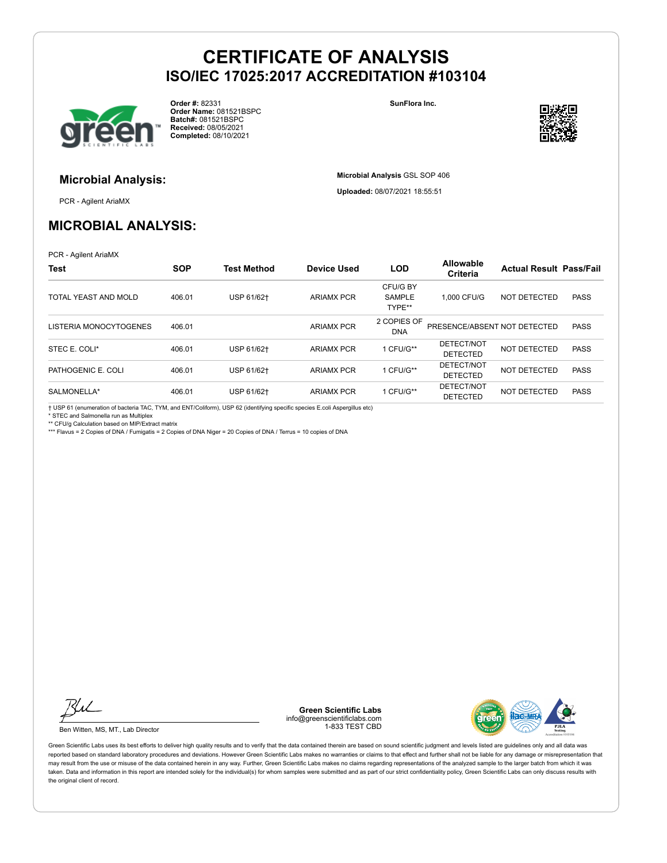

**Order #:** 82331 **Order Name:** 081521BSPC **Batch#:** 081521BSPC **Received:** 08/05/2021 **Completed:** 08/10/2021

**SunFlora Inc.**

**Microbial Analysis** GSL SOP 406 **Uploaded:** 08/07/2021 18:55:51



# **Microbial Analysis:**

PCR - Agilent AriaMX

### **MICROBIAL ANALYSIS:**

PCR - Agilent AriaMX

| <b>Test</b>            | <b>SOP</b> | <b>Test Method</b> | <b>Device Used</b> | <b>LOD</b>                          | <b>Allowable</b><br><b>Criteria</b> | <b>Actual Result Pass/Fail</b> |             |
|------------------------|------------|--------------------|--------------------|-------------------------------------|-------------------------------------|--------------------------------|-------------|
| TOTAL YEAST AND MOLD   | 406.01     | USP 61/62+         | <b>ARIAMX PCR</b>  | CFU/G BY<br><b>SAMPLE</b><br>TYPE** | 1.000 CFU/G                         | NOT DETECTED                   | <b>PASS</b> |
| LISTERIA MONOCYTOGENES | 406.01     |                    | <b>ARIAMX PCR</b>  | 2 COPIES OF<br><b>DNA</b>           | PRESENCE/ABSENT NOT DETECTED        |                                | <b>PASS</b> |
| STEC E. COLI*          | 406.01     | USP 61/62+         | <b>ARIAMX PCR</b>  | 1 CFU/G**                           | DETECT/NOT<br><b>DETECTED</b>       | NOT DETECTED                   | <b>PASS</b> |
| PATHOGENIC E. COLI     | 406.01     | USP 61/62+         | <b>ARIAMX PCR</b>  | 1 CFU/G**                           | DETECT/NOT<br><b>DETECTED</b>       | NOT DETECTED                   | <b>PASS</b> |
| SALMONELLA*            | 406.01     | USP 61/62+         | <b>ARIAMX PCR</b>  | 1 CFU/G**                           | DETECT/NOT<br><b>DETECTED</b>       | NOT DETECTED                   | <b>PASS</b> |

† USP 61 (enumeration of bacteria TAC, TYM, and ENT/Coliform), USP 62 (identifying specific species E.coli Aspergillus etc)

\* STEC and Salmonella run as Multiplex

\*\* CFU/g Calculation based on MIP/Extract matrix

\*\*\* Flavus = 2 Copies of DNA / Fumigatis = 2 Copies of DNA Niger = 20 Copies of DNA / Terrus = 10 copies of DNA



Ben Witten, MS, MT., Lab Director

**Green Scientific Labs** info@greenscientificlabs.com 1-833 TEST CBD